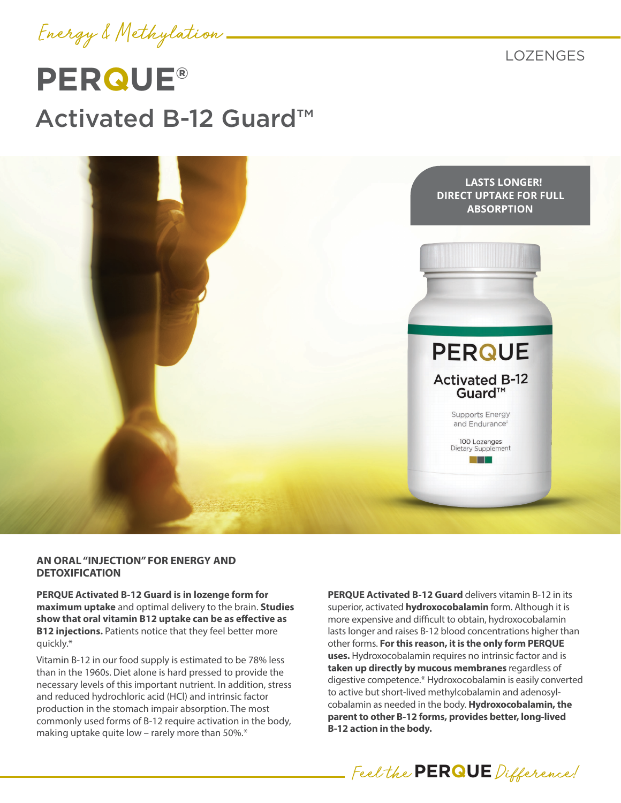

LOZENGES

# **PERQUE®** Activated B-12 Guard™



#### **AN ORAL "INJECTION" FOR ENERGY AND DETOXIFICATION**

**PERQUE Activated B-12 Guard is in lozenge form for maximum uptake** and optimal delivery to the brain. **Studies show that oral vitamin B12 uptake can be as effective as B12 injections.** Patients notice that they feel better more quickly.\*

Vitamin B-12 in our food supply is estimated to be 78% less than in the 1960s. Diet alone is hard pressed to provide the necessary levels of this important nutrient. In addition, stress and reduced hydrochloric acid (HCl) and intrinsic factor production in the stomach impair absorption. The most commonly used forms of B-12 require activation in the body, making uptake quite low – rarely more than 50%.\*

**PERQUE Activated B-12 Guard** delivers vitamin B-12 in its superior, activated **hydroxocobalamin** form. Although it is more expensive and difficult to obtain, hydroxocobalamin lasts longer and raises B-12 blood concentrations higher than other forms. **For this reason, it is the only form PERQUE uses.** Hydroxocobalamin requires no intrinsic factor and is **taken up directly by mucous membranes** regardless of digestive competence.\* Hydroxocobalamin is easily converted to active but short-lived methylcobalamin and adenosylcobalamin as needed in the body. **Hydroxocobalamin, the parent to other B-12 forms, provides better, long-lived B-12 action in the body.**